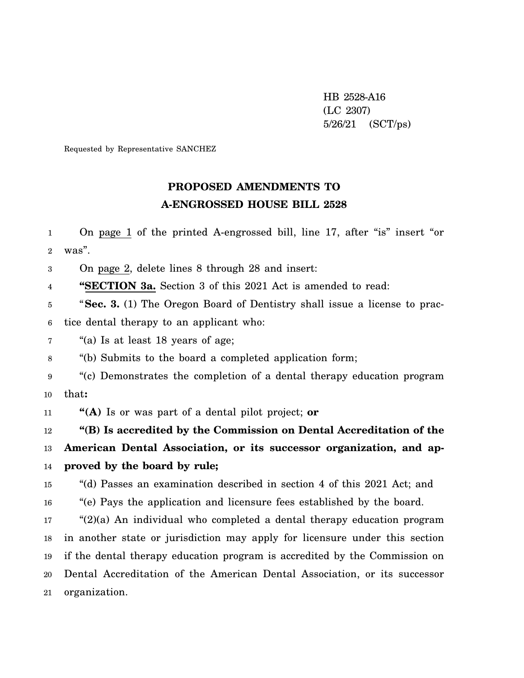HB 2528-A16 (LC 2307) 5/26/21 (SCT/ps)

Requested by Representative SANCHEZ

## **PROPOSED AMENDMENTS TO A-ENGROSSED HOUSE BILL 2528**

1 2 On page 1 of the printed A-engrossed bill, line 17, after "is" insert "or was".

3 On page 2, delete lines 8 through 28 and insert:

4 **"SECTION 3a.** Section 3 of this 2021 Act is amended to read:

5 6 "**Sec. 3.** (1) The Oregon Board of Dentistry shall issue a license to practice dental therapy to an applicant who:

7 "(a) Is at least 18 years of age;

8 "(b) Submits to the board a completed application form;

9 10 "(c) Demonstrates the completion of a dental therapy education program that**:**

11 **"(A)** Is or was part of a dental pilot project; **or**

12 **"(B) Is accredited by the Commission on Dental Accreditation of the**

13 14 **American Dental Association, or its successor organization, and approved by the board by rule;**

15 "(d) Passes an examination described in section 4 of this 2021 Act; and

16 "(e) Pays the application and licensure fees established by the board.

17 18 19 20 21 "(2)(a) An individual who completed a dental therapy education program in another state or jurisdiction may apply for licensure under this section if the dental therapy education program is accredited by the Commission on Dental Accreditation of the American Dental Association, or its successor organization.